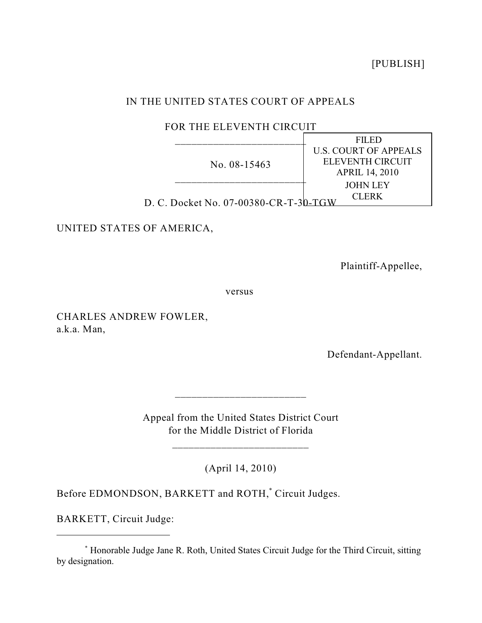[PUBLISH]

## IN THE UNITED STATES COURT OF APPEALS

FOR THE ELEVENTH CIRCUIT

|                                       | <b>FILED</b>                 |
|---------------------------------------|------------------------------|
| No. 08-15463                          | <b>U.S. COURT OF APPEALS</b> |
|                                       | ELEVENTH CIRCUIT             |
|                                       | <b>APRIL 14, 2010</b>        |
|                                       | <b>JOHN LEY</b>              |
|                                       | CLERK                        |
| D. C. Docket No. 07-00380-CR-T-30-TGW |                              |

UNITED STATES OF AMERICA,

Plaintiff-Appellee,

versus

CHARLES ANDREW FOWLER, a.k.a. Man,

Defendant-Appellant.

Appeal from the United States District Court for the Middle District of Florida

\_\_\_\_\_\_\_\_\_\_\_\_\_\_\_\_\_\_\_\_\_\_\_\_\_

 $\frac{1}{2}$  ,  $\frac{1}{2}$  ,  $\frac{1}{2}$  ,  $\frac{1}{2}$  ,  $\frac{1}{2}$  ,  $\frac{1}{2}$  ,  $\frac{1}{2}$  ,  $\frac{1}{2}$  ,  $\frac{1}{2}$  ,  $\frac{1}{2}$  ,  $\frac{1}{2}$  ,  $\frac{1}{2}$  ,  $\frac{1}{2}$  ,  $\frac{1}{2}$  ,  $\frac{1}{2}$  ,  $\frac{1}{2}$  ,  $\frac{1}{2}$  ,  $\frac{1}{2}$  ,  $\frac{1$ 

(April 14, 2010)

Before EDMONDSON, BARKETT and ROTH,<sup>\*</sup> Circuit Judges.

BARKETT, Circuit Judge:

Honorable Judge Jane R. Roth, United States Circuit Judge for the Third Circuit, sitting \* by designation.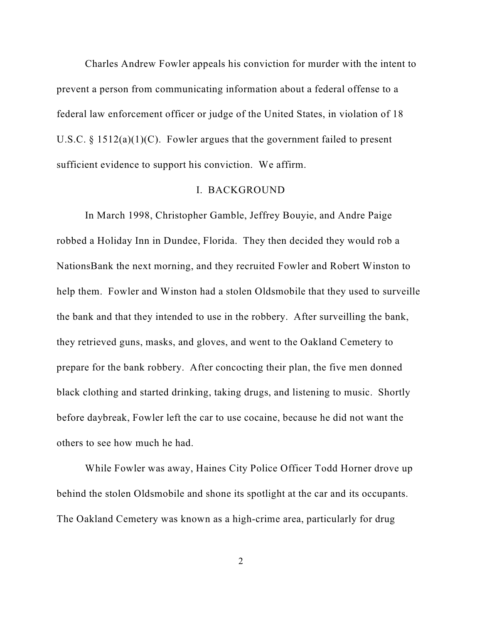Charles Andrew Fowler appeals his conviction for murder with the intent to prevent a person from communicating information about a federal offense to a federal law enforcement officer or judge of the United States, in violation of 18 U.S.C.  $\S$  1512(a)(1)(C). Fowler argues that the government failed to present sufficient evidence to support his conviction. We affirm.

## I. BACKGROUND

In March 1998, Christopher Gamble, Jeffrey Bouyie, and Andre Paige robbed a Holiday Inn in Dundee, Florida. They then decided they would rob a NationsBank the next morning, and they recruited Fowler and Robert Winston to help them. Fowler and Winston had a stolen Oldsmobile that they used to surveille the bank and that they intended to use in the robbery. After surveilling the bank, they retrieved guns, masks, and gloves, and went to the Oakland Cemetery to prepare for the bank robbery. After concocting their plan, the five men donned black clothing and started drinking, taking drugs, and listening to music. Shortly before daybreak, Fowler left the car to use cocaine, because he did not want the others to see how much he had.

While Fowler was away, Haines City Police Officer Todd Horner drove up behind the stolen Oldsmobile and shone its spotlight at the car and its occupants. The Oakland Cemetery was known as a high-crime area, particularly for drug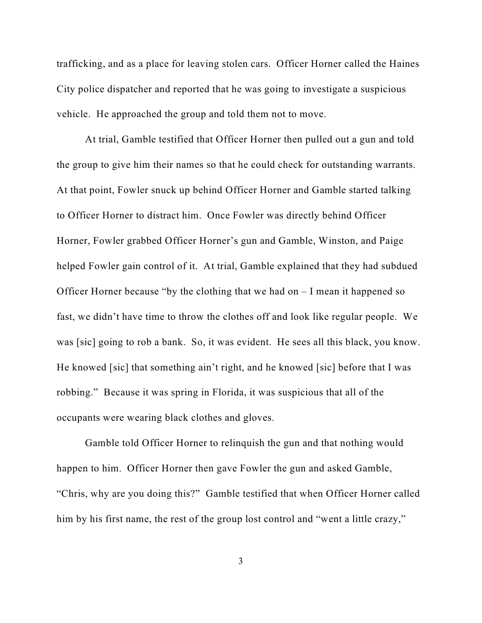trafficking, and as a place for leaving stolen cars. Officer Horner called the Haines City police dispatcher and reported that he was going to investigate a suspicious vehicle. He approached the group and told them not to move.

At trial, Gamble testified that Officer Horner then pulled out a gun and told the group to give him their names so that he could check for outstanding warrants. At that point, Fowler snuck up behind Officer Horner and Gamble started talking to Officer Horner to distract him. Once Fowler was directly behind Officer Horner, Fowler grabbed Officer Horner's gun and Gamble, Winston, and Paige helped Fowler gain control of it. At trial, Gamble explained that they had subdued Officer Horner because "by the clothing that we had on  $-I$  mean it happened so fast, we didn't have time to throw the clothes off and look like regular people. We was [sic] going to rob a bank. So, it was evident. He sees all this black, you know. He knowed [sic] that something ain't right, and he knowed [sic] before that I was robbing." Because it was spring in Florida, it was suspicious that all of the occupants were wearing black clothes and gloves.

Gamble told Officer Horner to relinquish the gun and that nothing would happen to him. Officer Horner then gave Fowler the gun and asked Gamble, "Chris, why are you doing this?" Gamble testified that when Officer Horner called him by his first name, the rest of the group lost control and "went a little crazy,"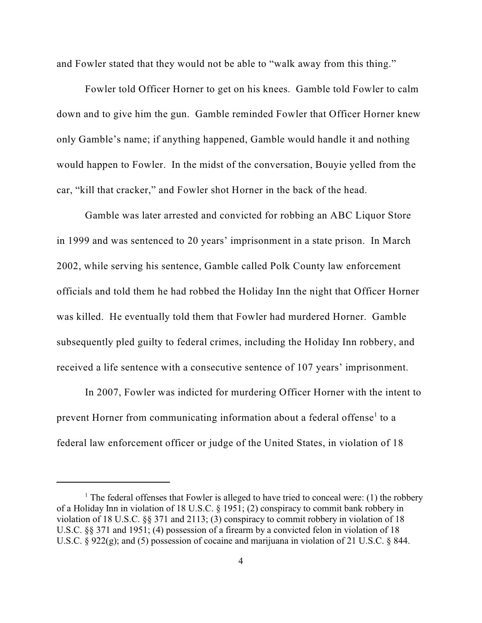and Fowler stated that they would not be able to "walk away from this thing."

Fowler told Officer Horner to get on his knees. Gamble told Fowler to calm down and to give him the gun. Gamble reminded Fowler that Officer Horner knew only Gamble's name; if anything happened, Gamble would handle it and nothing would happen to Fowler. In the midst of the conversation, Bouyie yelled from the car, "kill that cracker," and Fowler shot Horner in the back of the head.

Gamble was later arrested and convicted for robbing an ABC Liquor Store in 1999 and was sentenced to 20 years' imprisonment in a state prison. In March 2002, while serving his sentence, Gamble called Polk County law enforcement officials and told them he had robbed the Holiday Inn the night that Officer Horner was killed. He eventually told them that Fowler had murdered Horner. Gamble subsequently pled guilty to federal crimes, including the Holiday Inn robbery, and received a life sentence with a consecutive sentence of 107 years' imprisonment.

In 2007, Fowler was indicted for murdering Officer Horner with the intent to prevent Horner from communicating information about a federal offense<sup>1</sup> to a federal law enforcement officer or judge of the United States, in violation of 18

<sup>&</sup>lt;sup>1</sup> The federal offenses that Fowler is alleged to have tried to conceal were: (1) the robbery of a Holiday Inn in violation of 18 U.S.C. § 1951; (2) conspiracy to commit bank robbery in violation of 18 U.S.C. §§ 371 and 2113; (3) conspiracy to commit robbery in violation of 18 U.S.C. §§ 371 and 1951; (4) possession of a firearm by a convicted felon in violation of 18 U.S.C. § 922(g); and (5) possession of cocaine and marijuana in violation of 21 U.S.C. § 844.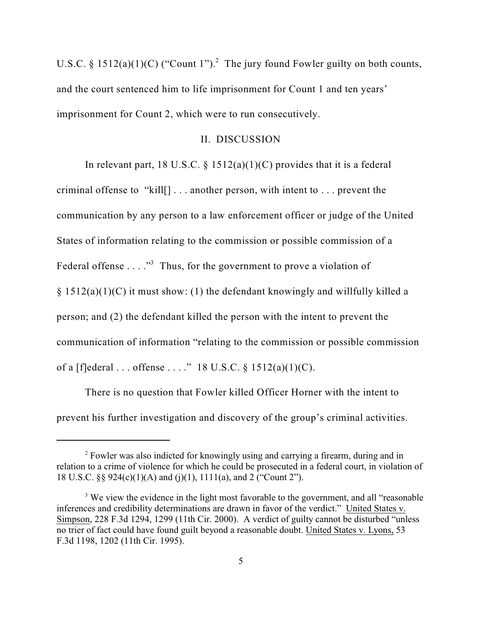U.S.C. § 1512(a)(1)(C) ("Count 1").<sup>2</sup> The jury found Fowler guilty on both counts, and the court sentenced him to life imprisonment for Count 1 and ten years' imprisonment for Count 2, which were to run consecutively.

## II. DISCUSSION

In relevant part, 18 U.S.C. § 1512(a)(1)(C) provides that it is a federal criminal offense to "kill[] . . . another person, with intent to . . . prevent the communication by any person to a law enforcement officer or judge of the United States of information relating to the commission or possible commission of a Federal offense  $\dots$ ."<sup>3</sup> Thus, for the government to prove a violation of  $§ 1512(a)(1)(C)$  it must show: (1) the defendant knowingly and willfully killed a person; and (2) the defendant killed the person with the intent to prevent the communication of information "relating to the commission or possible commission of a  $[f]$ ederal ... offense ...." 18 U.S.C. § 1512(a)(1)(C).

There is no question that Fowler killed Officer Horner with the intent to prevent his further investigation and discovery of the group's criminal activities.

<sup>&</sup>lt;sup>2</sup> Fowler was also indicted for knowingly using and carrying a firearm, during and in relation to a crime of violence for which he could be prosecuted in a federal court, in violation of 18 U.S.C. §§ 924(c)(1)(A) and (j)(1), 1111(a), and 2 ("Count 2").

<sup>&</sup>lt;sup>3</sup> We view the evidence in the light most favorable to the government, and all "reasonable" inferences and credibility determinations are drawn in favor of the verdict." United States v. Simpson, 228 F.3d 1294, 1299 (11th Cir. 2000). A verdict of guilty cannot be disturbed "unless no trier of fact could have found guilt beyond a reasonable doubt. United States v. Lyons, 53 F.3d 1198, 1202 (11th Cir. 1995).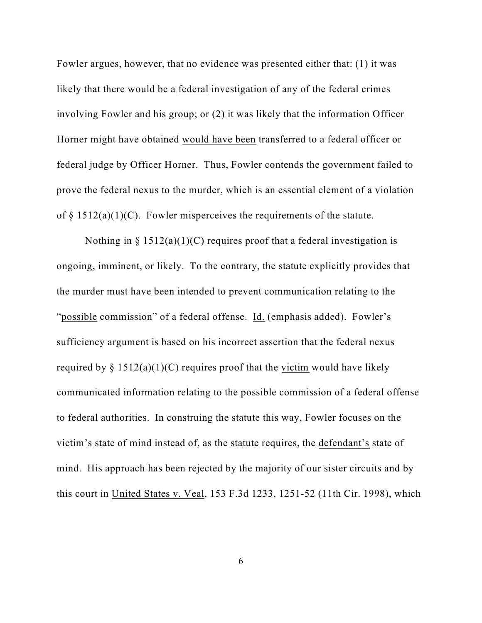Fowler argues, however, that no evidence was presented either that: (1) it was likely that there would be a federal investigation of any of the federal crimes involving Fowler and his group; or (2) it was likely that the information Officer Horner might have obtained would have been transferred to a federal officer or federal judge by Officer Horner. Thus, Fowler contends the government failed to prove the federal nexus to the murder, which is an essential element of a violation of  $\S 1512(a)(1)(C)$ . Fowler misperceives the requirements of the statute.

Nothing in  $\S 1512(a)(1)(C)$  requires proof that a federal investigation is ongoing, imminent, or likely. To the contrary, the statute explicitly provides that the murder must have been intended to prevent communication relating to the "possible commission" of a federal offense. Id. (emphasis added). Fowler's sufficiency argument is based on his incorrect assertion that the federal nexus required by  $\S 1512(a)(1)(C)$  requires proof that the victim would have likely communicated information relating to the possible commission of a federal offense to federal authorities. In construing the statute this way, Fowler focuses on the victim's state of mind instead of, as the statute requires, the defendant's state of mind. His approach has been rejected by the majority of our sister circuits and by this court in United States v. Veal, 153 F.3d 1233, 1251-52 (11th Cir. 1998), which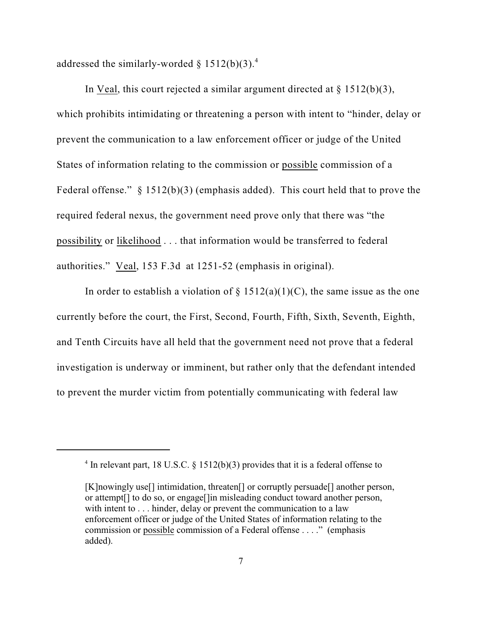addressed the similarly-worded  $\S 1512(b)(3).$ <sup>4</sup>

In Veal, this court rejected a similar argument directed at  $\S$  1512(b)(3), which prohibits intimidating or threatening a person with intent to "hinder, delay or prevent the communication to a law enforcement officer or judge of the United States of information relating to the commission or possible commission of a Federal offense."  $\S 1512(b)(3)$  (emphasis added). This court held that to prove the required federal nexus, the government need prove only that there was "the possibility or likelihood . . . that information would be transferred to federal authorities." Veal, 153 F.3d at 1251-52 (emphasis in original).

In order to establish a violation of  $\S$  1512(a)(1)(C), the same issue as the one currently before the court, the First, Second, Fourth, Fifth, Sixth, Seventh, Eighth, and Tenth Circuits have all held that the government need not prove that a federal investigation is underway or imminent, but rather only that the defendant intended to prevent the murder victim from potentially communicating with federal law

<sup>&</sup>lt;sup>4</sup> In relevant part, 18 U.S.C.  $\S$  1512(b)(3) provides that it is a federal offense to

<sup>[</sup>K]nowingly use[] intimidation, threaten[] or corruptly persuade[] another person, or attempt[] to do so, or engage[]in misleading conduct toward another person, with intent to . . . hinder, delay or prevent the communication to a law enforcement officer or judge of the United States of information relating to the commission or possible commission of a Federal offense . . . ." (emphasis added).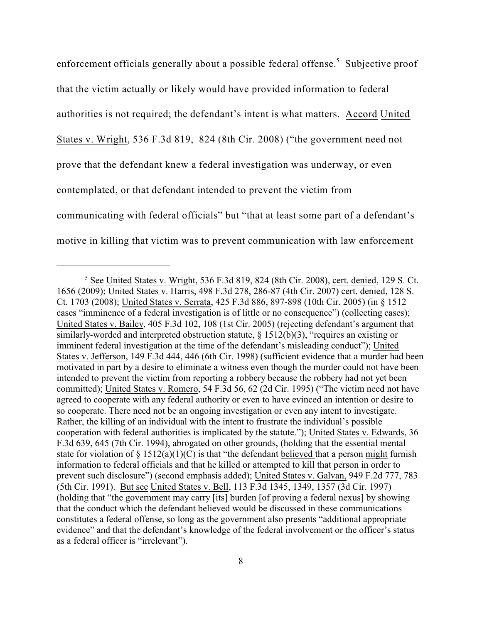enforcement officials generally about a possible federal offense.<sup>5</sup> Subjective proof that the victim actually or likely would have provided information to federal authorities is not required; the defendant's intent is what matters. Accord United States v. Wright, 536 F.3d 819, 824 (8th Cir. 2008) ("the government need not prove that the defendant knew a federal investigation was underway, or even contemplated, or that defendant intended to prevent the victim from communicating with federal officials" but "that at least some part of a defendant's motive in killing that victim was to prevent communication with law enforcement

 $5$  See United States v. Wright, 536 F.3d 819, 824 (8th Cir. 2008), cert. denied, 129 S. Ct. 1656 (2009); United States v. Harris, 498 F.3d 278, 286-87 (4th Cir. 2007) cert. denied, 128 S. Ct. 1703 (2008); United States v. Serrata, 425 F.3d 886, 897-898 (10th Cir. 2005) (in § 1512 cases "imminence of a federal investigation is of little or no consequence") (collecting cases); United States v. Bailey, 405 F.3d 102, 108 (1st Cir. 2005) (rejecting defendant's argument that similarly-worded and interpreted obstruction statute, § 1512(b)(3), "requires an existing or imminent federal investigation at the time of the defendant's misleading conduct"); United States v. Jefferson, 149 F.3d 444, 446 (6th Cir. 1998) (sufficient evidence that a murder had been motivated in part by a desire to eliminate a witness even though the murder could not have been intended to prevent the victim from reporting a robbery because the robbery had not yet been committed); United States v. Romero, 54 F.3d 56, 62 (2d Cir. 1995) ("The victim need not have agreed to cooperate with any federal authority or even to have evinced an intention or desire to so cooperate. There need not be an ongoing investigation or even any intent to investigate. Rather, the killing of an individual with the intent to frustrate the individual's possible cooperation with federal authorities is implicated by the statute."); United States v. Edwards, 36 F.3d 639, 645 (7th Cir. 1994), abrogated on other grounds, (holding that the essential mental state for violation of  $\S 1512(a)(1)(C)$  is that "the defendant believed that a person might furnish information to federal officials and that he killed or attempted to kill that person in order to prevent such disclosure") (second emphasis added); United States v. Galvan, 949 F.2d 777, 783 (5th Cir. 1991). But see United States v. Bell, 113 F.3d 1345, 1349, 1357 (3d Cir. 1997) (holding that "the government may carry [its] burden [of proving a federal nexus] by showing that the conduct which the defendant believed would be discussed in these communications constitutes a federal offense, so long as the government also presents "additional appropriate evidence" and that the defendant's knowledge of the federal involvement or the officer's status as a federal officer is "irrelevant").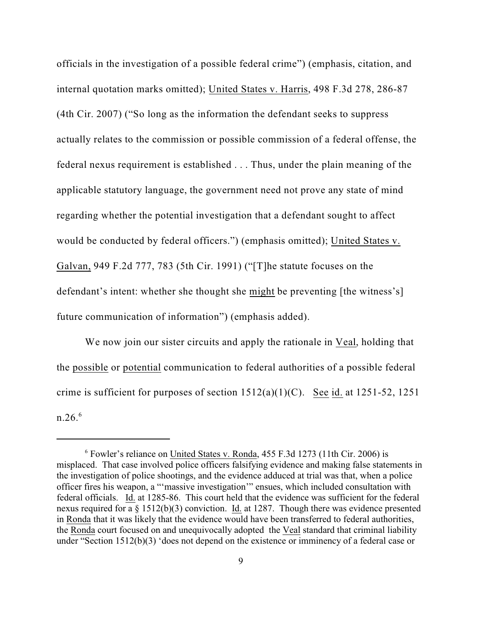officials in the investigation of a possible federal crime") (emphasis, citation, and internal quotation marks omitted); United States v. Harris, 498 F.3d 278, 286-87 (4th Cir. 2007) ("So long as the information the defendant seeks to suppress actually relates to the commission or possible commission of a federal offense, the federal nexus requirement is established . . . Thus, under the plain meaning of the applicable statutory language, the government need not prove any state of mind regarding whether the potential investigation that a defendant sought to affect would be conducted by federal officers.") (emphasis omitted); United States v. Galvan, 949 F.2d 777, 783 (5th Cir. 1991) ("[T]he statute focuses on the defendant's intent: whether she thought she might be preventing [the witness's] future communication of information") (emphasis added).

We now join our sister circuits and apply the rationale in Veal, holding that the possible or potential communication to federal authorities of a possible federal crime is sufficient for purposes of section  $1512(a)(1)(C)$ . See id. at  $1251-52$ ,  $1251$ n.26. 6

 $6$  Fowler's reliance on United States v. Ronda, 455 F.3d 1273 (11th Cir. 2006) is misplaced. That case involved police officers falsifying evidence and making false statements in the investigation of police shootings, and the evidence adduced at trial was that, when a police officer fires his weapon, a "'massive investigation'" ensues, which included consultation with federal officials. Id. at 1285-86. This court held that the evidence was sufficient for the federal nexus required for a § 1512(b)(3) conviction. Id. at 1287. Though there was evidence presented in Ronda that it was likely that the evidence would have been transferred to federal authorities, the Ronda court focused on and unequivocally adopted the Veal standard that criminal liability under "Section 1512(b)(3) 'does not depend on the existence or imminency of a federal case or